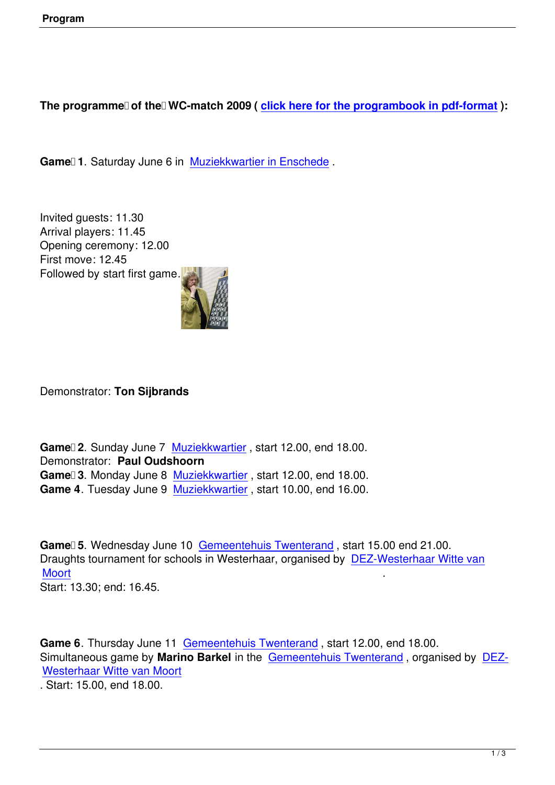## The programme of the WC-match 2009 (*click here for the programbook in pdf-format*):

Game<sup>[1]</sup> 1. Saturday June 6 in Muziekkwartie[r in Enschede](econtent/Programmaboekje%20WK%20Match%202009.pdf).

Invited guests: 11.30 Arrival players: 11.45 Opening ceremony: 12.00 First move: 12.45 Followed by start first game.



Demonstrator: **Ton Sijbrands**

Game<sup>nd</sup> 2. Sunday June 7 Muziekkwartier, start 12.00, end 18.00. Demonstrator: **Paul Oudshoorn** Game<sup>n</sup> 3. Monday June 8 Muziekkwartier, start 12.00, end 18.00. **Game 4**. Tuesday June 9 [Muziekkwartier](index.php?option=com_content&view=article&id=61&Itemid=91&lang=nl) , start 10.00, end 16.00.

Game<sup>1</sup>5. Wednesday Jun[e 10 Gemeente](index.php?option=com_content&view=article&id=61&Itemid=91&lang=nl)huis Twenterand, start 15.00 end 21.00. Draughts tournament for schools in Westerhaar, organised by DEZ-Westerhaar Witte van Moort . Start: 13.30; end: 16.45.

Game 6. Thursday June 11 Gemeentehuis Twenterand, start 12.00, end 18.00. Simultaneous game by **Marino Barkel** in the Gemeentehuis Twenterand , organised by DEZ-Westerhaar Witte van Moort

. Start: 15.00, end 18.00.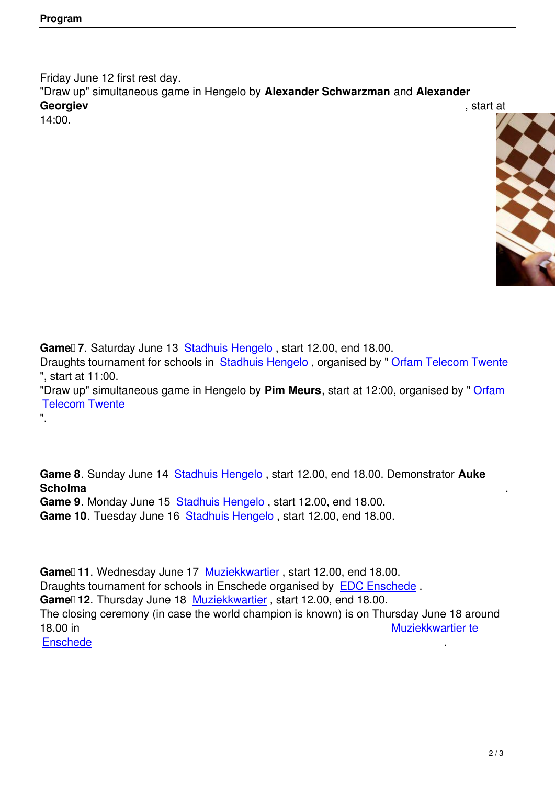Friday June 12 first rest day. "Draw up" simultaneous game in Hengelo by **Alexander Schwarzman** and **Alexander Georgiev** , start at 14:00.



**Game 7**. Saturday June 13 Stadhuis Hengelo , start 12.00, end 18.00.

".

Draughts tournament for schools in Stadhuis Hengelo , organised by " Orfam Telecom Twente ", start at 11:00.

"Draw up" simultaneous gam[e in Hengelo by](index.php?option=com_content&view=article&id=63&Itemid=93&lang=nl) **Pim Meurs**, start at 12:00, organised by " Orfam Telecom Twente

**Game 8**. Sunday June 14 Stadhuis Hengelo , start 12.00, end 18.00. Demonstrator **Auke Scholma** .

**Game 9**. Monday June 15 Stadhuis Hengelo , start 12.00, end 18.00.

Game 10. Tuesday June 1[6 Stadhuis Henge](index.php?option=com_content&view=article&id=63&Itemid=93&lang=nl)lo, start 12.00, end 18.00.

Game<sup>[11]</sup>. Wednesday June 17 [Muziekkwartie](index.php?option=com_content&view=article&id=63&Itemid=93&lang=nl)r, start 12.00, end 18.00. Draughts tournament for schools in Enschede organised by EDC Enschede . Game<sup>n</sup> 12. Thursday June 18 Muziekkwartier, start 12.00, end 18.00. The closing ceremony (in case th[e world champio](index.php?option=com_content&view=article&id=61&Itemid=91&lang=nl)n is known) is on Thursday June 18 around 18.00 in [Muzie](http://home.introweb.nl/e/edc/)kkwartier te **Enschede**